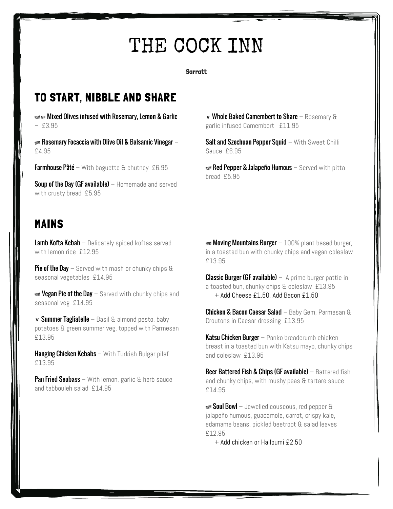# THE COCK INN

**Sarratt** 

#### TO START, NIBBLE AND SHARE

**KEANLAFE Mixed Olives infused with Rosemary, Lemon & Garlic** – £3.95

 $\epsilon$  Rosemary Focaccia with Olive Oil & Balsamic Vinegar – £4.95

**Soup of the Day (GF available)**  $-$  Homemade and served with crusty bread £5.95

#### MAINS

Lamb Kofta Kebab – Delicately spiced koftas served with lemon rice £12.95

**Pie of the Day** – Served with mash or chunky chips  $\theta$ seasonal vegetables  $£14.95$  Classic Burger (GF available)  $-$  A prime burger pattie in

**EXECTED Prie of the Day** – Served with chunky chips and  $\frac{+ \text{Add} \cdot \text{H}}{2.50}$  Add Bacon £1.50 seasonal veg £14.95

v Summer Tagliatelle – Basil & almond pesto, baby Croutons in Caesar dressing £13.95 potatoes & green summer veg, topped with Parmesan £13.95 Katsu Chicken Burger – Panko breadcrumb chicken

**Hanging Chicken Kebabs** – With Turkish Bulgar pilaf and coleslaw £13.95 £13.95

**Pan Fried Seabass** – With lemon, garlic  $\theta$  herb sauce and tabbouleh salad £14.95

v Whole Baked Camembert to Share – Rosemary & garlic infused Camembert £11.95

Salt and Szechuan Pepper Squid - With Sweet Chilli Sauce £6.95

**Farmhouse Pâté** – With baguette & chutney £6.95 **A Red Pepper & Jalapeño Humous** – Served with pitta bread £5.95

> **Moving Mountains Burger** – 100% plant based burger, in a toasted bun with chunky chips and vegan coleslaw £13.95

a toasted bun, chunky chips & coleslaw £13.95

Chicken & Bacon Caesar Salad – Baby Gem, Parmesan &

breast in a toasted bun with Katsu mayo, chunky chips

**Beer Battered Fish & Chips (GF available)** – Battered fish and chunky chips, with mushy peas & tartare sauce £14.95

**WEAN Soul Bowl** – Jewelled couscous, red pepper & jalapeño humous, guacamole, carrot, crispy kale, edamame beans, pickled beetroot & salad leaves £12.95

+ Add chicken or Halloumi £2.50